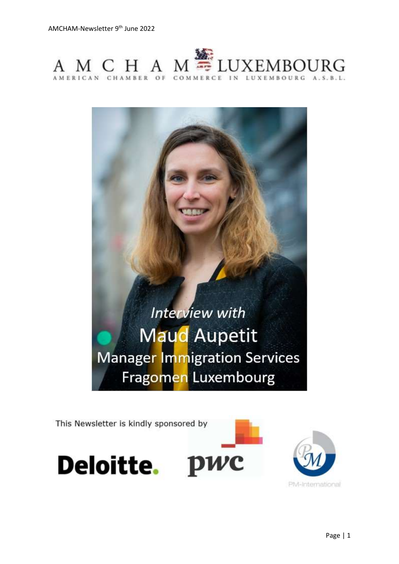



This Newsletter is kindly sponsored by



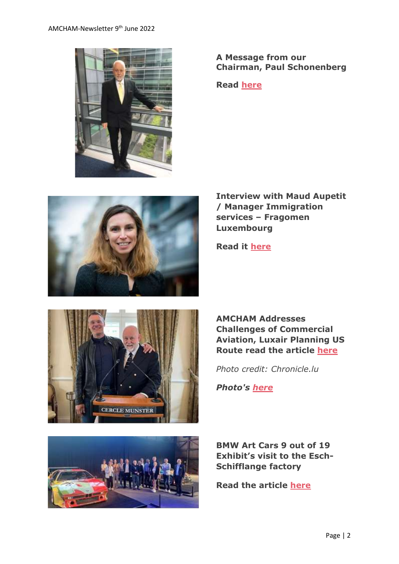

**A Message from our Chairman, Paul Schonenberg**

**Read [here](https://www.amcham.lu/newsletter/chairmans-remarks-9th-june-2022/)**



**Interview with Maud Aupetit / Manager Immigration services – Fragomen Luxembourg**



**AMCHAM Addresses Challenges of Commercial Aviation, Luxair Planning US Route read the article [here](https://chronicle.lu/category/american-chamber-amcham/41267-amcham-addresses-challenges-of-commercial-aviation-luxair-planning-us-route)**

*Photo credit: Chronicle.lu*

*Photo's [here](https://www.amcham.lu/newsletter/abal-lunch-with-guest-of-honour-gilles-feith-ceo-luxair/)*

**Read it [here](https://www.amcham.lu/newsletter/interview-with-maud-aupetit-manager-immigration-services-fragomen-luxembourg/)**

**BMW Art Cars 9 out of 19 Exhibit's visit to the Esch-Schifflange factory**

**Read the article [here](https://www.amcham.lu/newsletter/bmw-art-cars-9-out-of-19-exhibits-visit-to-the-esch-schifflange-factory/)**

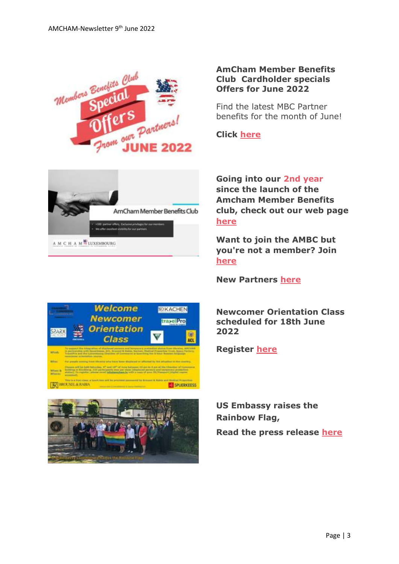



#### **AmCham Member Benefits Club Cardholder specials Offers for June 2022**

Find the latest MBC Partner benefits for the month of June!

**Click [here](https://www.amcham.lu/ambc-special-offers-june-2022/)**

**Going into our 2nd year since the launch of the Amcham Member Benefits club, check out our web page [here](https://www.amcham.lu/amcham-benefits-club/)**

**Want to join the AMBC but you're not a member? Join [here](https://www.amcham.lu/amcham-benefits-club/ambc-card-for-non-members/)**

**New Partners [here](https://www.amcham.lu/newsletter/bmw-art-cars-9-out-of-19-exhibits-visit-to-the-esch-schifflange-factory/)**

**Newcomer Orientation Class scheduled for 18th June 2022**

**Register [here](https://www.amcham.lu/events/newcomer-orientation-courses-in-support-of-ukrainian-displaced-persons-and-temporary-protection-status/)**

**US Embassy raises the Rainbow Flag, Read the press release [here](https://lu.usembassy.gov/us-embassy-luxembourg-raises-the-rainbow-flag/)**



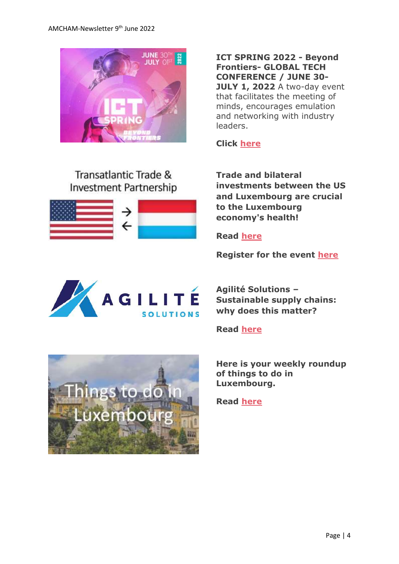

Transatlantic Trade & **Investment Partnership**  **ICT SPRING 2022 - Beyond Frontiers- GLOBAL TECH CONFERENCE / JUNE 30- JULY 1, 2022** A two-day event that facilitates the meeting of minds, encourages emulation and networking with industry leaders.

**Click [here](https://www.ictspring.com/)**

**Trade and bilateral investments between the US and Luxembourg are crucial to the Luxembourg economy's health!**

**Read [here](https://www.amcham.lu/newsletter/transatlantic-trade-trade-and-bilateral-investments-between-the-united-states-and-luxembourg/)**

**Register for the event [here](https://www.amcham.lu/events/transatlantic-trade-and-investment/)**



**Agilité Solutions – Sustainable supply chains: why does this matter?**

**Read [here](https://www.amcham.lu/newsletter/3-agilite-solutions-sustainable-supply-chains-why-does-it-matter/)**

**Here is your weekly roundup of things to do in Luxembourg.**

**Read [here](https://www.amcham.lu/newsletter/things-to-do-in-luxembourg-for-june-2022/)**

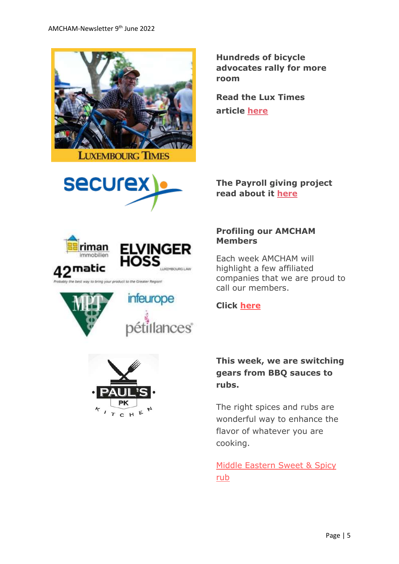

**Hundreds of bicycle advocates rally for more room**

**Read the Lux Times article [here](https://www.luxtimes.lu/en/luxembourg/hundreds-of-bicycle-advocates-rally-for-more-room-629c7fadde135b9236496377?utm_source=amcham_newsletter_&utm_medium=amcham_newsletter_&utm_term=amcham_newsletter_article_&utm_content=article_&utm_campaign=LT_AMCHAM_2022)**



man mmobilien matic product to the Greater Region!







### **The Payroll giving project read about it [here](https://www.securex.lu/en/payroll-giving)**

#### **Profiling our AMCHAM Members**

Each week AMCHAM will highlight a few affiliated companies that we are proud to call our members.

### **Click [here](https://www.amcham.lu/newsletter/profiling-our-amcham-members-09jun2022/)**

## **This week, we are switching gears from BBQ sauces to rubs.**

The right spices and rubs are wonderful way to enhance the flavor of whatever you are cooking.

[Middle Eastern Sweet & Spicy](https://www.amcham.lu/newsletter/recipe-09th-june-2022/)  [rub](https://www.amcham.lu/newsletter/recipe-09th-june-2022/)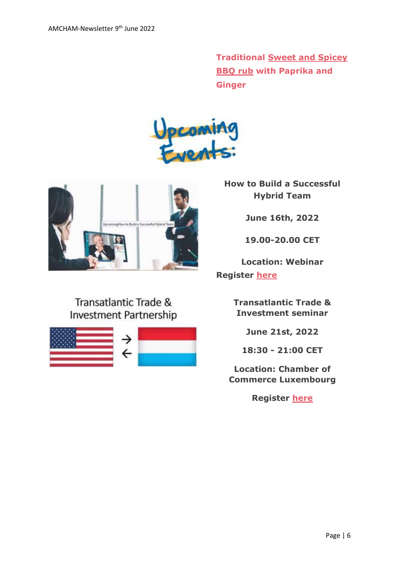**Traditional [Sweet and Spicey](https://www.justtherecipe.com/?url=https://www.thegeneticchef.com/sweet-and-spicy-bbq-rub/)  [BBQ rub](https://www.justtherecipe.com/?url=https://www.thegeneticchef.com/sweet-and-spicy-bbq-rub/) with Paprika and Ginger**





Transatlantic Trade & **Investment Partnership** 



**How to Build a Successful Hybrid Team**

**June 16th, 2022**

**19.00-20.00 CET**

**Location: Webinar Register [here](https://www.amcham.lu/events/how-to-build-a-successful-hybrid-team/)**

> **Transatlantic Trade & Investment seminar**

> > **June 21st, 2022**

**18:30 - 21:00 CET**

**Location: Chamber of Commerce Luxembourg**

**Register [here](https://www.amcham.lu/events/transatlantic-trade-and-investment/)**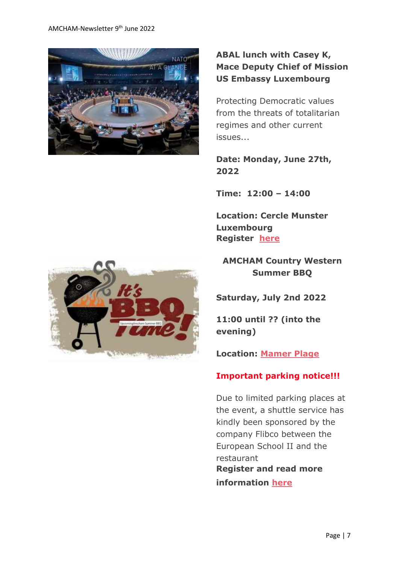

# **ABAL lunch with Casey K, Mace Deputy Chief of Mission US Embassy Luxembourg**

Protecting Democratic values from the threats of totalitarian regimes and other current issues...

**Date: Monday, June 27th, 2022**

**Time: 12:00 – 14:00**

**Location: Cercle Munster Luxembourg Register [here](https://www.amcham.lu/events/agenda-and-objectives-of-nato-annual-conference-protecting-european-and-american-values-from-the-threats-of-totalitarian-regimes-and-other-current-issues/)**



**AMCHAM Country Western Summer BBQ**

**Saturday, July 2nd 2022**

**11:00 until ?? (into the evening)**

**Location: [Mamer Plage](https://www.mamerplage.lu/)**

### **Important parking notice!!!**

Due to limited parking places at the event, a shuttle service has kindly been sponsored by the company Flibco between the European School II and the restaurant **Register and read more information [here](https://www.amcham.lu/events/amcham-summer-bbq/)**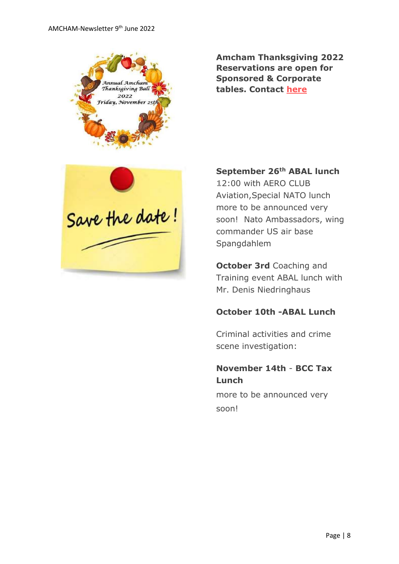

**Amcham Thanksgiving 2022 Reservations are open for Sponsored & Corporate tables. Contact [here](mailto:daniel@amcham.lu)**



**September 26th ABAL lunch**

**1**2:00 with AERO CLUB Aviation,Special NATO lunch more to be announced very soon! Nato Ambassadors, wing commander US air base Spangdahlem

**October 3rd** Coaching and Training event ABAL lunch with Mr. Denis Niedringhaus

### **October 10th -ABAL Lunch**

Criminal activities and crime scene investigation:

## **November 14th** - **BCC Tax Lunch**

more to be announced very soon!